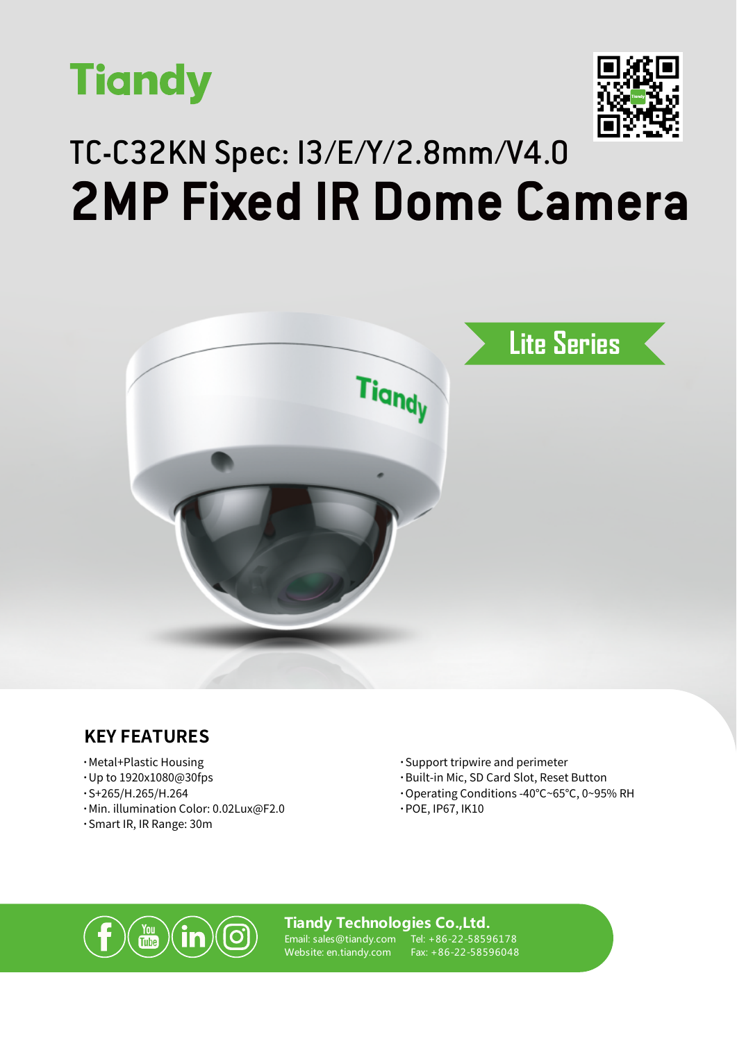



## TC-C32KN Spec: I3/E/Y/2.8mm/V4.0 **2MP Fixed IR Dome Camera**



### **KEY FEATURES**

- **·**Metal+Plastic Housing
- **·**Up to 1920x1080@30fps
- **·**S+265/H.265/H.264
- **·**Min. illumination Color: 0.02Lux@F2.0
- **·**Smart IR, IR Range: 30m
- **·**Support tripwire and perimeter
- **·**Built-in Mic, SD Card Slot, Reset Button
- **·**Operating Conditions -40℃~65℃, 0~95% RH
- **·**POE, IP67, IK10



#### **Tiandy Technologies Co.,Ltd.**

Email: sales@tiandy.com Website: en.tiandy.com

Tel: +86-22-58596178 Fax: +86-22-58596048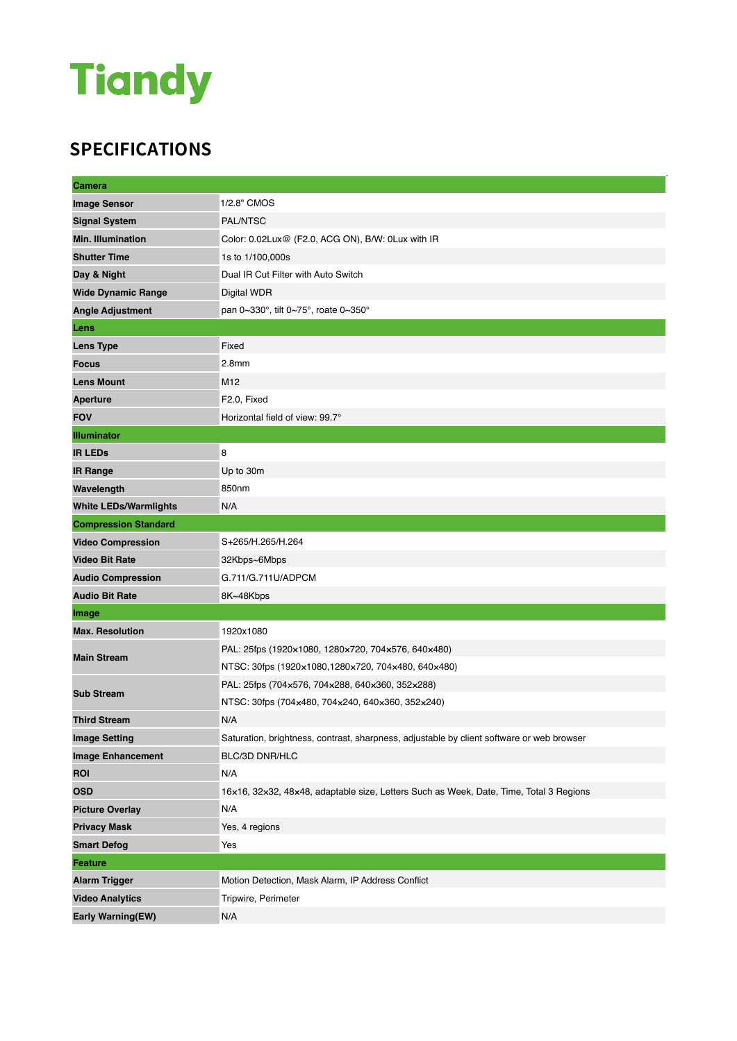# **Tiandy**

### **SPECIFICATIONS**

| <b>Camera</b>                |                                                                                           |
|------------------------------|-------------------------------------------------------------------------------------------|
| <b>Image Sensor</b>          | 1/2.8" CMOS                                                                               |
| <b>Signal System</b>         | PAL/NTSC                                                                                  |
| <b>Min. Illumination</b>     | Color: 0.02Lux@ (F2.0, ACG ON), B/W: 0Lux with IR                                         |
| <b>Shutter Time</b>          | 1s to 1/100,000s                                                                          |
| Day & Night                  | Dual IR Cut Filter with Auto Switch                                                       |
| <b>Wide Dynamic Range</b>    | Digital WDR                                                                               |
| <b>Angle Adjustment</b>      | pan $0\sim 330^\circ$ , tilt $0\sim 75^\circ$ , roate $0\sim 350^\circ$                   |
| Lens                         |                                                                                           |
| <b>Lens Type</b>             | Fixed                                                                                     |
| <b>Focus</b>                 | 2.8 <sub>mm</sub>                                                                         |
| <b>Lens Mount</b>            | M12                                                                                       |
| <b>Aperture</b>              | F2.0, Fixed                                                                               |
| <b>FOV</b>                   | Horizontal field of view: 99.7°                                                           |
| <b>Illuminator</b>           |                                                                                           |
| <b>IR LEDs</b>               | 8                                                                                         |
| <b>IR Range</b>              | Up to 30m                                                                                 |
| Wavelength                   | 850nm                                                                                     |
| <b>White LEDs/Warmlights</b> | N/A                                                                                       |
| <b>Compression Standard</b>  |                                                                                           |
| <b>Video Compression</b>     | S+265/H.265/H.264                                                                         |
| <b>Video Bit Rate</b>        | 32Kbps~6Mbps                                                                              |
| <b>Audio Compression</b>     | G.711/G.711U/ADPCM                                                                        |
| <b>Audio Bit Rate</b>        | 8K~48Kbps                                                                                 |
| Image                        |                                                                                           |
| <b>Max. Resolution</b>       | 1920x1080                                                                                 |
| <b>Main Stream</b>           | PAL: 25fps (1920×1080, 1280×720, 704×576, 640×480)                                        |
|                              | NTSC: 30fps (1920×1080,1280×720, 704×480, 640×480)                                        |
| <b>Sub Stream</b>            | PAL: 25fps (704x576, 704x288, 640x360, 352x288)                                           |
|                              | NTSC: 30fps (704x480, 704x240, 640x360, 352x240)                                          |
| <b>Third Stream</b>          | N/A                                                                                       |
| <b>Image Setting</b>         | Saturation, brightness, contrast, sharpness, adjustable by client software or web browser |
| <b>Image Enhancement</b>     | BLC/3D DNR/HLC                                                                            |
| <b>ROI</b>                   | N/A                                                                                       |
| <b>OSD</b>                   | 16x16, 32x32, 48x48, adaptable size, Letters Such as Week, Date, Time, Total 3 Regions    |
| <b>Picture Overlay</b>       | N/A                                                                                       |
| <b>Privacy Mask</b>          | Yes, 4 regions                                                                            |
| <b>Smart Defog</b>           | Yes                                                                                       |
| <b>Feature</b>               |                                                                                           |
| <b>Alarm Trigger</b>         | Motion Detection, Mask Alarm, IP Address Conflict                                         |
| <b>Video Analytics</b>       | Tripwire, Perimeter                                                                       |
| Early Warning(EW)            | N/A                                                                                       |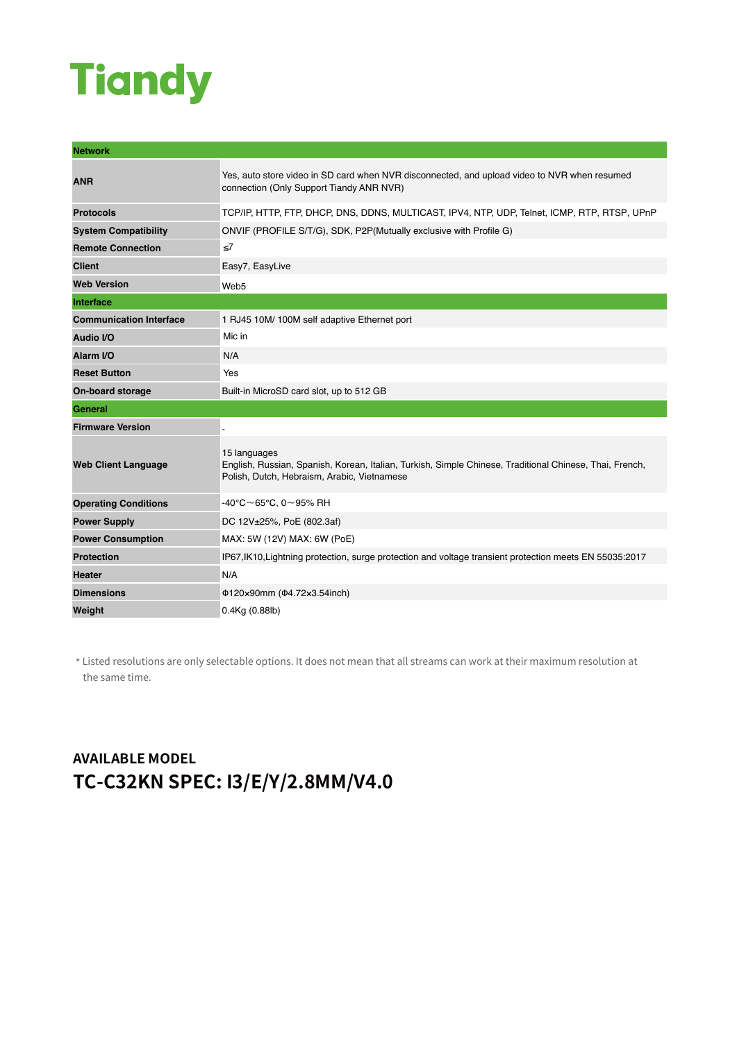# **Tiandy**

| <b>Network</b>                 |                                                                                                                                                                        |
|--------------------------------|------------------------------------------------------------------------------------------------------------------------------------------------------------------------|
| <b>ANR</b>                     | Yes, auto store video in SD card when NVR disconnected, and upload video to NVR when resumed<br>connection (Only Support Tiandy ANR NVR)                               |
| <b>Protocols</b>               | TCP/IP, HTTP, FTP, DHCP, DNS, DDNS, MULTICAST, IPV4, NTP, UDP, Telnet, ICMP, RTP, RTSP, UPnP                                                                           |
| <b>System Compatibility</b>    | ONVIF (PROFILE S/T/G), SDK, P2P(Mutually exclusive with Profile G)                                                                                                     |
| <b>Remote Connection</b>       | ≤7                                                                                                                                                                     |
| <b>Client</b>                  | Easy7, EasyLive                                                                                                                                                        |
| <b>Web Version</b>             | Web5                                                                                                                                                                   |
| Interface                      |                                                                                                                                                                        |
| <b>Communication Interface</b> | 1 RJ45 10M/ 100M self adaptive Ethernet port                                                                                                                           |
| Audio I/O                      | Mic in                                                                                                                                                                 |
| Alarm I/O                      | N/A                                                                                                                                                                    |
| <b>Reset Button</b>            | Yes                                                                                                                                                                    |
| <b>On-board storage</b>        | Built-in MicroSD card slot, up to 512 GB                                                                                                                               |
| <b>General</b>                 |                                                                                                                                                                        |
| <b>Firmware Version</b>        |                                                                                                                                                                        |
| <b>Web Client Language</b>     | 15 languages<br>English, Russian, Spanish, Korean, Italian, Turkish, Simple Chinese, Traditional Chinese, Thai, French,<br>Polish, Dutch, Hebraism, Arabic, Vietnamese |
| <b>Operating Conditions</b>    | $-40^{\circ}$ C $\sim$ 65°C. 0 $\sim$ 95% RH                                                                                                                           |
| <b>Power Supply</b>            | DC 12V±25%, PoE (802.3af)                                                                                                                                              |
| <b>Power Consumption</b>       | MAX: 5W (12V) MAX: 6W (PoE)                                                                                                                                            |
| <b>Protection</b>              | IP67, IK10, Lightning protection, surge protection and voltage transient protection meets EN 55035:2017                                                                |
| <b>Heater</b>                  | N/A                                                                                                                                                                    |
| <b>Dimensions</b>              | Φ120×90mm (Φ4.72×3.54inch)                                                                                                                                             |
| Weight                         | $0.4$ Kg $(0.88$ lb)                                                                                                                                                   |

\* Listed resolutions are only selectable options. It does not mean that all streams can work at their maximum resolution at the same time.

### **AVAILABLE MODEL TC-C32KN SPEC: I3/E/Y/2.8MM/V4.0**